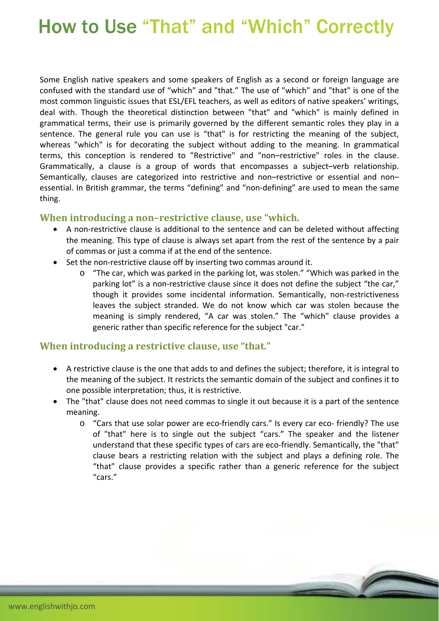# How to Use "That" and "Which" Correctly

Some English native speakers and some speakers of English as a second or foreign language are confused with the standard use of "which" and "that." The use of "which" and "that" is one of the most common linguistic issues that ESL/EFL teachers, as well as editors of native speakers' writings, deal with. Though the theoretical distinction between "that" and "which" is mainly defined in grammatical terms, their use is primarily governed by the different semantic roles they play in a sentence. The general rule you can use is "that" is for restricting the meaning of the subject, whereas "which" is for decorating the subject without adding to the meaning. In grammatical terms, this conception is rendered to "Restrictive" and "non–restrictive" roles in the clause. Grammatically, a clause is a group of words that encompasses a subject–verb relationship. Semantically, clauses are categorized into restrictive and non–restrictive or essential and non– essential. In British grammar, the terms "defining" and "non‐defining" are used to mean the same thing.

#### **When introducing a non–restrictive clause, use "which.**

- A non-restrictive clause is additional to the sentence and can be deleted without affecting the meaning. This type of clause is always set apart from the rest of the sentence by a pair of commas or just a comma if at the end of the sentence.
- Set the non-restrictive clause off by inserting two commas around it.
	- o "The car, which was parked in the parking lot, was stolen." "Which was parked in the parking lot" is a non-restrictive clause since it does not define the subject "the car," though it provides some incidental information. Semantically, non‐restrictiveness leaves the subject stranded. We do not know which car was stolen because the meaning is simply rendered, "A car was stolen." The "which" clause provides a generic rather than specific reference for the subject "car."

#### **When introducing a restrictive clause, use "that."**

- A restrictive clause is the one that adds to and defines the subject; therefore, it is integral to the meaning of the subject. It restricts the semantic domain of the subject and confines it to one possible interpretation; thus, it is restrictive.
- The "that" clause does not need commas to single it out because it is a part of the sentence meaning.
	- o "Cars that use solar power are eco‐friendly cars." Is every car eco‐ friendly? The use of "that" here is to single out the subject "cars." The speaker and the listener understand that these specific types of cars are eco-friendly. Semantically, the "that" clause bears a restricting relation with the subject and plays a defining role. The "that" clause provides a specific rather than a generic reference for the subject "cars."